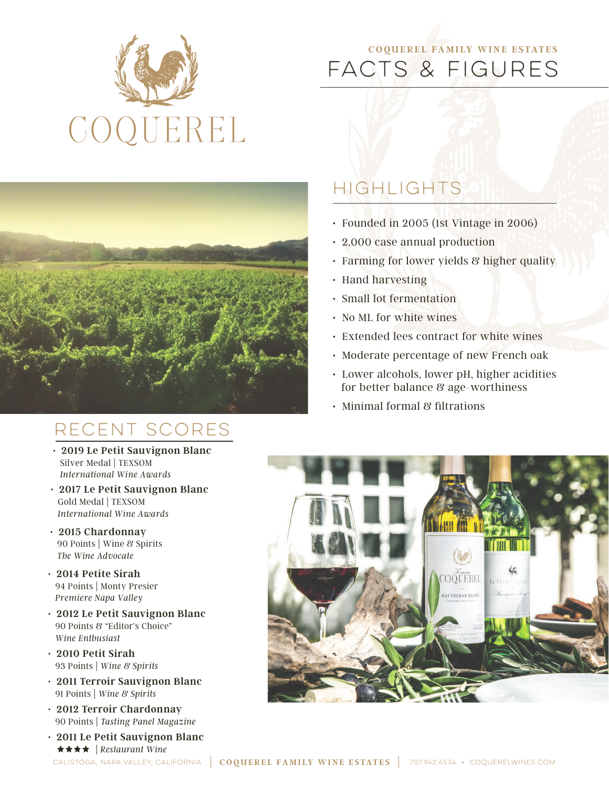

# FACTS & FIGURES **C OQUEREL FA M I LY WINE E STATE S**



# RECENT SCORES

- **2019 Le Petit Sauvignon Blanc** Silver Medal | TEXSOM  *International Wine Awards*
- **2017 Le Petit Sauvignon Blanc** Gold Medal | TEXSOM  *International Wine Awards*
- **2015 Chardonnay** 90 Points | Wine & Spirits  *The Wine Advocate*
- **2014 Petite Sirah** 94 Points | Monty Presier  *Premiere Napa Valley*
- **2012 Le Petit Sauvignon Blanc** 90 Points & "Editor's Choice"  *Wine Enthusiast*
- **2010 Petit Sirah** 93 Points | *Wine & Spirits*
- **2011 Terroir Sauvignon Blanc** 91 Points | *Wine & Spirits*
- **2012 Terroir Chardonnay** 90 Points | *Tasting Panel Magazine*
- **2011 Le Petit Sauvignon Blanc** | *Restaurant Wine*

# HIGHLIGHTS

- Founded in 2005 (1st Vintage in 2006)
- 2,000 case annual production
- Farming for lower yields & higher quality
- Hand harvesting
- Small lot fermentation
- No ML for white wines
- Extended lees contract for white wines
- Moderate percentage of new French oak
- Lower alcohols, lower pH, higher acidities for better balance & age-worthiness
- Minimal formal & filtrations